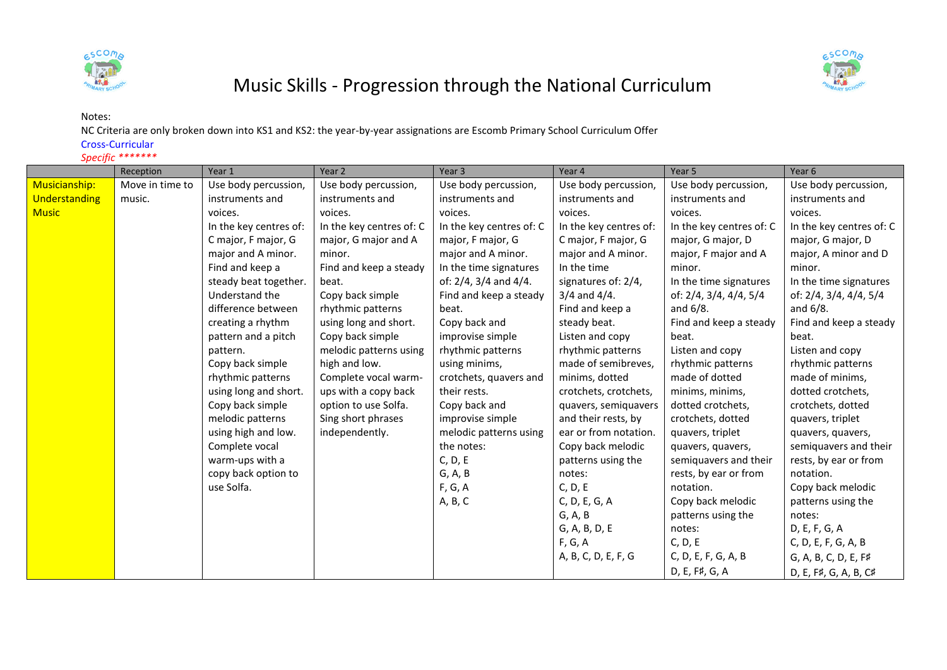



## Music Skills - Progression through the National Curriculum

## Notes:

NC Criteria are only broken down into KS1 and KS2: the year-by-year assignations are Escomb Primary School Curriculum Offer

Cross-Curricular

## *Specific \*\*\*\*\*\*\**

|               | Reception       | Year 1                 | Year 2                   | Year <sub>3</sub>        | Year 4                 | Year 5                   | Year 6                   |
|---------------|-----------------|------------------------|--------------------------|--------------------------|------------------------|--------------------------|--------------------------|
| Musicianship: | Move in time to | Use body percussion,   | Use body percussion,     | Use body percussion,     | Use body percussion,   | Use body percussion,     | Use body percussion,     |
| Understanding | music.          | instruments and        | instruments and          | instruments and          | instruments and        | instruments and          | instruments and          |
| <b>Music</b>  |                 | voices.                | voices.                  | voices.                  | voices.                | voices.                  | voices.                  |
|               |                 | In the key centres of: | In the key centres of: C | In the key centres of: C | In the key centres of: | In the key centres of: C | In the key centres of: C |
|               |                 | C major, F major, G    | major, G major and A     | major, F major, G        | C major, F major, G    | major, G major, D        | major, G major, D        |
|               |                 | major and A minor.     | minor.                   | major and A minor.       | major and A minor.     | major, F major and A     | major, A minor and D     |
|               |                 | Find and keep a        | Find and keep a steady   | In the time signatures   | In the time            | minor.                   | minor.                   |
|               |                 | steady beat together.  | beat.                    | of: 2/4, 3/4 and 4/4.    | signatures of: 2/4,    | In the time signatures   | In the time signatures   |
|               |                 | Understand the         | Copy back simple         | Find and keep a steady   | $3/4$ and $4/4$ .      | of: 2/4, 3/4, 4/4, 5/4   | of: 2/4, 3/4, 4/4, 5/4   |
|               |                 | difference between     | rhythmic patterns        | beat.                    | Find and keep a        | and 6/8.                 | and $6/8$ .              |
|               |                 | creating a rhythm      | using long and short.    | Copy back and            | steady beat.           | Find and keep a steady   | Find and keep a steady   |
|               |                 | pattern and a pitch    | Copy back simple         | improvise simple         | Listen and copy        | beat.                    | beat.                    |
|               |                 | pattern.               | melodic patterns using   | rhythmic patterns        | rhythmic patterns      | Listen and copy          | Listen and copy          |
|               |                 | Copy back simple       | high and low.            | using minims,            | made of semibreves,    | rhythmic patterns        | rhythmic patterns        |
|               |                 | rhythmic patterns      | Complete vocal warm-     | crotchets, quavers and   | minims, dotted         | made of dotted           | made of minims,          |
|               |                 | using long and short.  | ups with a copy back     | their rests.             | crotchets, crotchets,  | minims, minims,          | dotted crotchets,        |
|               |                 | Copy back simple       | option to use Solfa.     | Copy back and            | quavers, semiquavers   | dotted crotchets,        | crotchets, dotted        |
|               |                 | melodic patterns       | Sing short phrases       | improvise simple         | and their rests, by    | crotchets, dotted        | quavers, triplet         |
|               |                 | using high and low.    | independently.           | melodic patterns using   | ear or from notation.  | quavers, triplet         | quavers, quavers,        |
|               |                 | Complete vocal         |                          | the notes:               | Copy back melodic      | quavers, quavers,        | semiquavers and their    |
|               |                 | warm-ups with a        |                          | C, D, E                  | patterns using the     | semiquavers and their    | rests, by ear or from    |
|               |                 | copy back option to    |                          | G, A, B                  | notes:                 | rests, by ear or from    | notation.                |
|               |                 | use Solfa.             |                          | F, G, A                  | C, D, E                | notation.                | Copy back melodic        |
|               |                 |                        |                          | A, B, C                  | C, D, E, G, A          | Copy back melodic        | patterns using the       |
|               |                 |                        |                          |                          | G, A, B                | patterns using the       | notes:                   |
|               |                 |                        |                          |                          | G, A, B, D, E          | notes:                   | D, E, F, G, A            |
|               |                 |                        |                          |                          | F, G, A                | C, D, E                  | C, D, E, F, G, A, B      |
|               |                 |                        |                          |                          | A, B, C, D, E, F, G    | C, D, E, F, G, A, B      | G, A, B, C, D, E, F#     |
|               |                 |                        |                          |                          |                        | D, E, F#, G, A           | D, E, F#, G, A, B, C#    |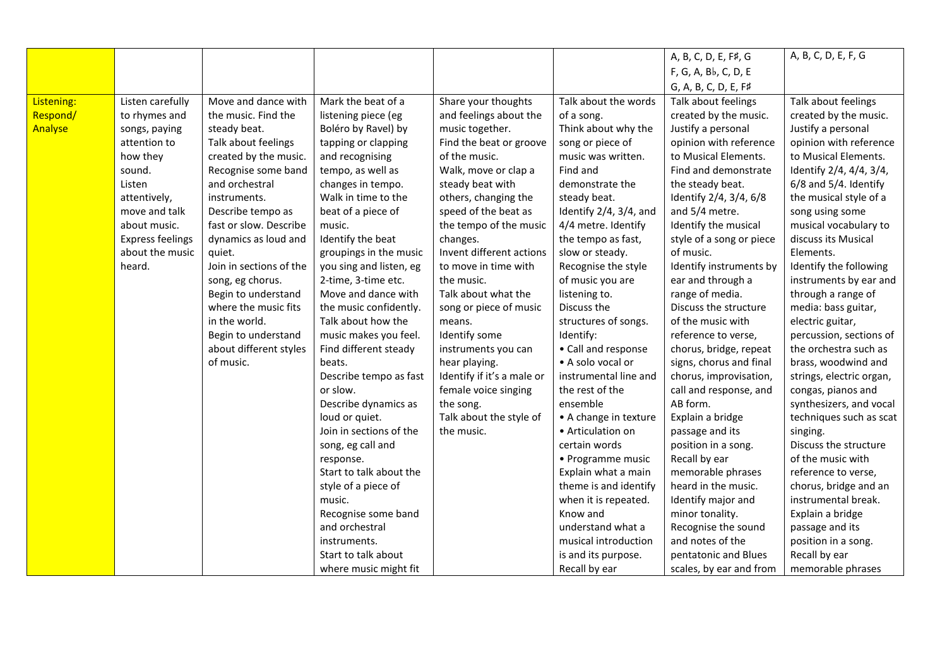|            |                         |                         |                         |                            |                        | A, B, C, D, E, F#, G     | A, B, C, D, E, F, G        |
|------------|-------------------------|-------------------------|-------------------------|----------------------------|------------------------|--------------------------|----------------------------|
|            |                         |                         |                         |                            |                        | F, G, A, Bb, C, D, E     |                            |
|            |                         |                         |                         |                            |                        | G, A, B, C, D, E, F#     |                            |
| Listening: | Listen carefully        | Move and dance with     | Mark the beat of a      | Share your thoughts        | Talk about the words   | Talk about feelings      | Talk about feelings        |
| Respond/   | to rhymes and           | the music. Find the     | listening piece (eg     | and feelings about the     | of a song.             | created by the music.    | created by the music.      |
| Analyse    | songs, paying           | steady beat.            | Boléro by Ravel) by     | music together.            | Think about why the    | Justify a personal       | Justify a personal         |
|            | attention to            | Talk about feelings     | tapping or clapping     | Find the beat or groove    | song or piece of       | opinion with reference   | opinion with reference     |
|            | how they                | created by the music.   | and recognising         | of the music.              | music was written.     | to Musical Elements.     | to Musical Elements.       |
|            | sound.                  | Recognise some band     | tempo, as well as       | Walk, move or clap a       | Find and               | Find and demonstrate     | Identify 2/4, 4/4, 3/4,    |
|            | Listen                  | and orchestral          | changes in tempo.       | steady beat with           | demonstrate the        | the steady beat.         | $6/8$ and $5/4$ . Identify |
|            | attentively,            | instruments.            | Walk in time to the     | others, changing the       | steady beat.           | Identify 2/4, 3/4, 6/8   | the musical style of a     |
|            | move and talk           | Describe tempo as       | beat of a piece of      | speed of the beat as       | Identify 2/4, 3/4, and | and 5/4 metre.           | song using some            |
|            | about music.            | fast or slow. Describe  | music.                  | the tempo of the music     | 4/4 metre. Identify    | Identify the musical     | musical vocabulary to      |
|            | <b>Express feelings</b> | dynamics as loud and    | Identify the beat       | changes.                   | the tempo as fast,     | style of a song or piece | discuss its Musical        |
|            | about the music         | quiet.                  | groupings in the music  | Invent different actions   | slow or steady.        | of music.                | Elements.                  |
|            | heard.                  | Join in sections of the | you sing and listen, eg | to move in time with       | Recognise the style    | Identify instruments by  | Identify the following     |
|            |                         | song, eg chorus.        | 2-time, 3-time etc.     | the music.                 | of music you are       | ear and through a        | instruments by ear and     |
|            |                         | Begin to understand     | Move and dance with     | Talk about what the        | listening to.          | range of media.          | through a range of         |
|            |                         | where the music fits    | the music confidently.  | song or piece of music     | Discuss the            | Discuss the structure    | media: bass guitar,        |
|            |                         | in the world.           | Talk about how the      | means.                     | structures of songs.   | of the music with        | electric guitar,           |
|            |                         | Begin to understand     | music makes you feel.   | Identify some              | Identify:              | reference to verse,      | percussion, sections of    |
|            |                         | about different styles  | Find different steady   | instruments you can        | • Call and response    | chorus, bridge, repeat   | the orchestra such as      |
|            |                         | of music.               | beats.                  | hear playing.              | • A solo vocal or      | signs, chorus and final  | brass, woodwind and        |
|            |                         |                         | Describe tempo as fast  | Identify if it's a male or | instrumental line and  | chorus, improvisation,   | strings, electric organ,   |
|            |                         |                         | or slow.                | female voice singing       | the rest of the        | call and response, and   | congas, pianos and         |
|            |                         |                         | Describe dynamics as    | the song.                  | ensemble               | AB form.                 | synthesizers, and vocal    |
|            |                         |                         | loud or quiet.          | Talk about the style of    | • A change in texture  | Explain a bridge         | techniques such as scat    |
|            |                         |                         | Join in sections of the | the music.                 | • Articulation on      | passage and its          | singing.                   |
|            |                         |                         | song, eg call and       |                            | certain words          | position in a song.      | Discuss the structure      |
|            |                         |                         | response.               |                            | • Programme music      | Recall by ear            | of the music with          |
|            |                         |                         | Start to talk about the |                            | Explain what a main    | memorable phrases        | reference to verse,        |
|            |                         |                         | style of a piece of     |                            | theme is and identify  | heard in the music.      | chorus, bridge and an      |
|            |                         |                         | music.                  |                            | when it is repeated.   | Identify major and       | instrumental break.        |
|            |                         |                         | Recognise some band     |                            | Know and               | minor tonality.          | Explain a bridge           |
|            |                         |                         | and orchestral          |                            | understand what a      | Recognise the sound      | passage and its            |
|            |                         |                         | instruments.            |                            | musical introduction   | and notes of the         | position in a song.        |
|            |                         |                         | Start to talk about     |                            | is and its purpose.    | pentatonic and Blues     | Recall by ear              |
|            |                         |                         | where music might fit   |                            | Recall by ear          | scales, by ear and from  | memorable phrases          |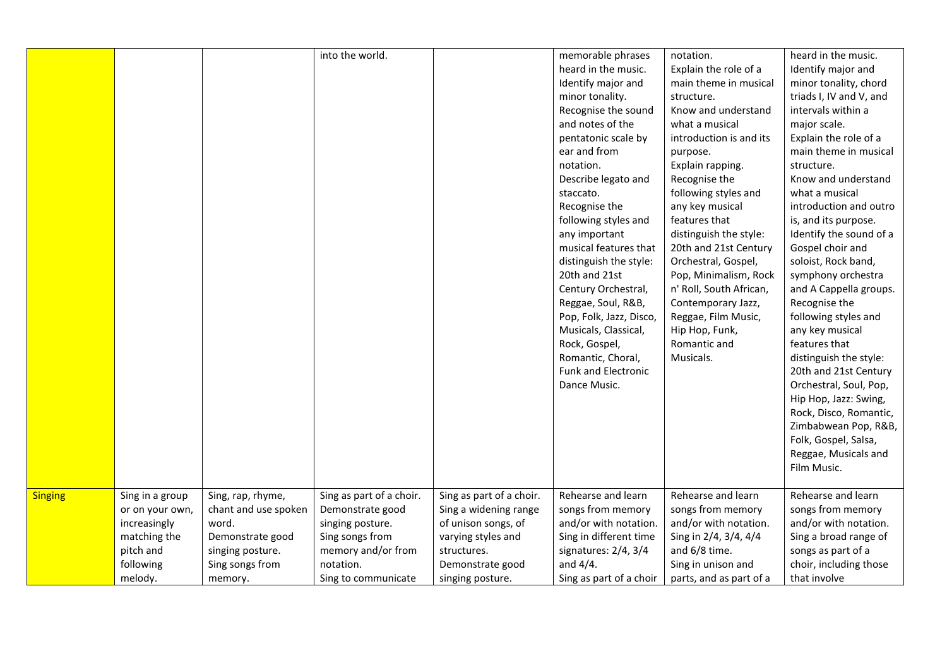|                |                                                                                              |                                                                                                               | into the world.                                                                                                        |                                                                                                                                   | memorable phrases<br>heard in the music.<br>Identify major and<br>minor tonality.<br>Recognise the sound<br>and notes of the<br>pentatonic scale by<br>ear and from<br>notation.<br>Describe legato and<br>staccato.<br>Recognise the<br>following styles and<br>any important<br>musical features that<br>distinguish the style:<br>20th and 21st<br>Century Orchestral,<br>Reggae, Soul, R&B,<br>Pop, Folk, Jazz, Disco,<br>Musicals, Classical,<br>Rock, Gospel,<br>Romantic, Choral,<br><b>Funk and Electronic</b><br>Dance Music. | notation.<br>Explain the role of a<br>main theme in musical<br>structure.<br>Know and understand<br>what a musical<br>introduction is and its<br>purpose.<br>Explain rapping.<br>Recognise the<br>following styles and<br>any key musical<br>features that<br>distinguish the style:<br>20th and 21st Century<br>Orchestral, Gospel,<br>Pop, Minimalism, Rock<br>n' Roll, South African,<br>Contemporary Jazz,<br>Reggae, Film Music,<br>Hip Hop, Funk,<br>Romantic and<br>Musicals. | heard in the music.<br>Identify major and<br>minor tonality, chord<br>triads I, IV and V, and<br>intervals within a<br>major scale.<br>Explain the role of a<br>main theme in musical<br>structure.<br>Know and understand<br>what a musical<br>introduction and outro<br>is, and its purpose.<br>Identify the sound of a<br>Gospel choir and<br>soloist, Rock band,<br>symphony orchestra<br>and A Cappella groups.<br>Recognise the<br>following styles and<br>any key musical<br>features that<br>distinguish the style:<br>20th and 21st Century<br>Orchestral, Soul, Pop,<br>Hip Hop, Jazz: Swing,<br>Rock, Disco, Romantic,<br>Zimbabwean Pop, R&B,<br>Folk, Gospel, Salsa,<br>Reggae, Musicals and<br>Film Music. |
|----------------|----------------------------------------------------------------------------------------------|---------------------------------------------------------------------------------------------------------------|------------------------------------------------------------------------------------------------------------------------|-----------------------------------------------------------------------------------------------------------------------------------|----------------------------------------------------------------------------------------------------------------------------------------------------------------------------------------------------------------------------------------------------------------------------------------------------------------------------------------------------------------------------------------------------------------------------------------------------------------------------------------------------------------------------------------|--------------------------------------------------------------------------------------------------------------------------------------------------------------------------------------------------------------------------------------------------------------------------------------------------------------------------------------------------------------------------------------------------------------------------------------------------------------------------------------|--------------------------------------------------------------------------------------------------------------------------------------------------------------------------------------------------------------------------------------------------------------------------------------------------------------------------------------------------------------------------------------------------------------------------------------------------------------------------------------------------------------------------------------------------------------------------------------------------------------------------------------------------------------------------------------------------------------------------|
| <b>Singing</b> | Sing in a group<br>or on your own,<br>increasingly<br>matching the<br>pitch and<br>following | Sing, rap, rhyme,<br>chant and use spoken<br>word.<br>Demonstrate good<br>singing posture.<br>Sing songs from | Sing as part of a choir.<br>Demonstrate good<br>singing posture.<br>Sing songs from<br>memory and/or from<br>notation. | Sing as part of a choir.<br>Sing a widening range<br>of unison songs, of<br>varying styles and<br>structures.<br>Demonstrate good | Rehearse and learn<br>songs from memory<br>and/or with notation.<br>Sing in different time<br>signatures: 2/4, 3/4<br>and $4/4$ .                                                                                                                                                                                                                                                                                                                                                                                                      | Rehearse and learn<br>songs from memory<br>and/or with notation.<br>Sing in 2/4, 3/4, 4/4<br>and 6/8 time.<br>Sing in unison and                                                                                                                                                                                                                                                                                                                                                     | Rehearse and learn<br>songs from memory<br>and/or with notation.<br>Sing a broad range of<br>songs as part of a<br>choir, including those                                                                                                                                                                                                                                                                                                                                                                                                                                                                                                                                                                                |
|                | melody.                                                                                      | memory.                                                                                                       | Sing to communicate                                                                                                    | singing posture.                                                                                                                  | Sing as part of a choir                                                                                                                                                                                                                                                                                                                                                                                                                                                                                                                | parts, and as part of a                                                                                                                                                                                                                                                                                                                                                                                                                                                              | that involve                                                                                                                                                                                                                                                                                                                                                                                                                                                                                                                                                                                                                                                                                                             |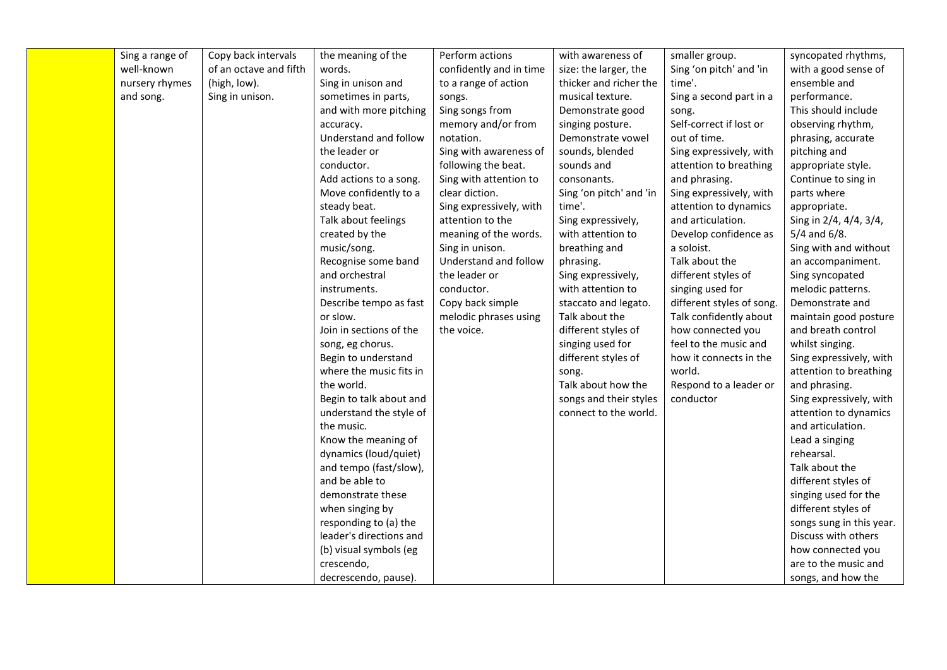| Sing a range of | Copy back intervals    | the meaning of the      | Perform actions         | with awareness of       | smaller group.            | syncopated rhythms,      |
|-----------------|------------------------|-------------------------|-------------------------|-------------------------|---------------------------|--------------------------|
| well-known      | of an octave and fifth | words.                  | confidently and in time | size: the larger, the   | Sing 'on pitch' and 'in   | with a good sense of     |
| nursery rhymes  | (high, low).           | Sing in unison and      | to a range of action    | thicker and richer the  | time'.                    | ensemble and             |
| and song.       | Sing in unison.        | sometimes in parts,     | songs.                  | musical texture.        | Sing a second part in a   | performance.             |
|                 |                        | and with more pitching  | Sing songs from         | Demonstrate good        | song.                     | This should include      |
|                 |                        | accuracy.               | memory and/or from      | singing posture.        | Self-correct if lost or   | observing rhythm,        |
|                 |                        | Understand and follow   | notation.               | Demonstrate vowel       | out of time.              | phrasing, accurate       |
|                 |                        | the leader or           | Sing with awareness of  | sounds, blended         | Sing expressively, with   | pitching and             |
|                 |                        | conductor.              | following the beat.     | sounds and              | attention to breathing    | appropriate style.       |
|                 |                        | Add actions to a song.  | Sing with attention to  | consonants.             | and phrasing.             | Continue to sing in      |
|                 |                        | Move confidently to a   | clear diction.          | Sing 'on pitch' and 'in | Sing expressively, with   | parts where              |
|                 |                        | steady beat.            | Sing expressively, with | time'.                  | attention to dynamics     | appropriate.             |
|                 |                        | Talk about feelings     | attention to the        | Sing expressively,      | and articulation.         | Sing in 2/4, 4/4, 3/4,   |
|                 |                        | created by the          | meaning of the words.   | with attention to       | Develop confidence as     | $5/4$ and $6/8$ .        |
|                 |                        | music/song.             | Sing in unison.         | breathing and           | a soloist.                | Sing with and without    |
|                 |                        | Recognise some band     | Understand and follow   | phrasing.               | Talk about the            | an accompaniment.        |
|                 |                        | and orchestral          | the leader or           | Sing expressively,      | different styles of       | Sing syncopated          |
|                 |                        | instruments.            | conductor.              | with attention to       | singing used for          | melodic patterns.        |
|                 |                        | Describe tempo as fast  | Copy back simple        | staccato and legato.    | different styles of song. | Demonstrate and          |
|                 |                        | or slow.                | melodic phrases using   | Talk about the          | Talk confidently about    | maintain good posture    |
|                 |                        | Join in sections of the | the voice.              | different styles of     | how connected you         | and breath control       |
|                 |                        | song, eg chorus.        |                         | singing used for        | feel to the music and     | whilst singing.          |
|                 |                        | Begin to understand     |                         | different styles of     | how it connects in the    | Sing expressively, with  |
|                 |                        | where the music fits in |                         | song.                   | world.                    | attention to breathing   |
|                 |                        | the world.              |                         | Talk about how the      | Respond to a leader or    | and phrasing.            |
|                 |                        | Begin to talk about and |                         | songs and their styles  | conductor                 | Sing expressively, with  |
|                 |                        | understand the style of |                         | connect to the world.   |                           | attention to dynamics    |
|                 |                        | the music.              |                         |                         |                           | and articulation.        |
|                 |                        | Know the meaning of     |                         |                         |                           | Lead a singing           |
|                 |                        | dynamics (loud/quiet)   |                         |                         |                           | rehearsal.               |
|                 |                        | and tempo (fast/slow),  |                         |                         |                           | Talk about the           |
|                 |                        | and be able to          |                         |                         |                           | different styles of      |
|                 |                        | demonstrate these       |                         |                         |                           | singing used for the     |
|                 |                        | when singing by         |                         |                         |                           | different styles of      |
|                 |                        | responding to (a) the   |                         |                         |                           | songs sung in this year. |
|                 |                        | leader's directions and |                         |                         |                           | Discuss with others      |
|                 |                        | (b) visual symbols (eg  |                         |                         |                           | how connected you        |
|                 |                        | crescendo,              |                         |                         |                           | are to the music and     |
|                 |                        | decrescendo, pause).    |                         |                         |                           | songs, and how the       |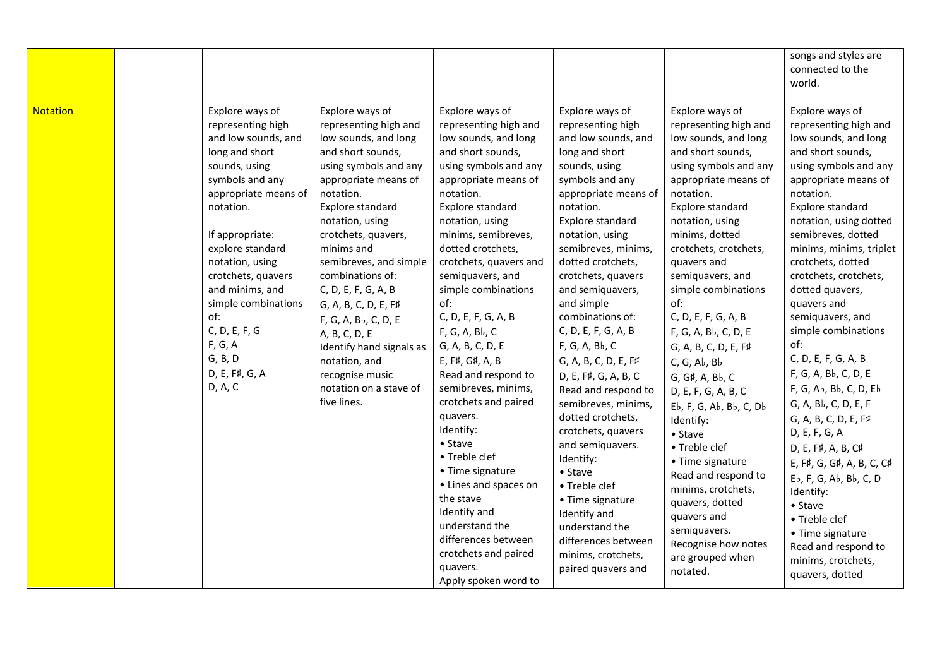|                 |                                                                                                                                                                                                                                                                                                                                                             |                                                                                                                                                                                                                                                                                                                                                                                                                                                                                |                                                                                                                                                                                                                                                                                                                                                                                                                                                                                                                                                                                                                                                                                                                      |                                                                                                                                                                                                                                                                                                                                                                                                                                                                                                                                                                                                                                                                                               |                                                                                                                                                                                                                                                                                                                                                                                                                                                                                                                                                                                                                                                                                       | songs and styles are<br>connected to the<br>world.                                                                                                                                                                                                                                                                                                                                                                                                                                                                                                                                                                                                                                                                                       |
|-----------------|-------------------------------------------------------------------------------------------------------------------------------------------------------------------------------------------------------------------------------------------------------------------------------------------------------------------------------------------------------------|--------------------------------------------------------------------------------------------------------------------------------------------------------------------------------------------------------------------------------------------------------------------------------------------------------------------------------------------------------------------------------------------------------------------------------------------------------------------------------|----------------------------------------------------------------------------------------------------------------------------------------------------------------------------------------------------------------------------------------------------------------------------------------------------------------------------------------------------------------------------------------------------------------------------------------------------------------------------------------------------------------------------------------------------------------------------------------------------------------------------------------------------------------------------------------------------------------------|-----------------------------------------------------------------------------------------------------------------------------------------------------------------------------------------------------------------------------------------------------------------------------------------------------------------------------------------------------------------------------------------------------------------------------------------------------------------------------------------------------------------------------------------------------------------------------------------------------------------------------------------------------------------------------------------------|---------------------------------------------------------------------------------------------------------------------------------------------------------------------------------------------------------------------------------------------------------------------------------------------------------------------------------------------------------------------------------------------------------------------------------------------------------------------------------------------------------------------------------------------------------------------------------------------------------------------------------------------------------------------------------------|------------------------------------------------------------------------------------------------------------------------------------------------------------------------------------------------------------------------------------------------------------------------------------------------------------------------------------------------------------------------------------------------------------------------------------------------------------------------------------------------------------------------------------------------------------------------------------------------------------------------------------------------------------------------------------------------------------------------------------------|
| <b>Notation</b> | Explore ways of<br>representing high<br>and low sounds, and<br>long and short<br>sounds, using<br>symbols and any<br>appropriate means of<br>notation.<br>If appropriate:<br>explore standard<br>notation, using<br>crotchets, quavers<br>and minims, and<br>simple combinations<br>of:<br>C, D, E, F, G<br>F, G, A<br>G, B, D<br>D, E, F#, G, A<br>D, A, C | Explore ways of<br>representing high and<br>low sounds, and long<br>and short sounds,<br>using symbols and any<br>appropriate means of<br>notation.<br>Explore standard<br>notation, using<br>crotchets, quavers,<br>minims and<br>semibreves, and simple<br>combinations of:<br>C, D, E, F, G, A, B<br>G, A, B, C, D, E, F#<br>F, G, A, Bb, C, D, E<br>A, B, C, D, E<br>Identify hand signals as<br>notation, and<br>recognise music<br>notation on a stave of<br>five lines. | Explore ways of<br>representing high and<br>low sounds, and long<br>and short sounds,<br>using symbols and any<br>appropriate means of<br>notation.<br>Explore standard<br>notation, using<br>minims, semibreves,<br>dotted crotchets,<br>crotchets, quavers and<br>semiquavers, and<br>simple combinations<br>of:<br>C, D, E, F, G, A, B<br>F, G, A, Bb, C<br>G, A, B, C, D, E<br>E, F#, G#, A, B<br>Read and respond to<br>semibreves, minims,<br>crotchets and paired<br>quavers.<br>Identify:<br>$\bullet$ Stave<br>• Treble clef<br>• Time signature<br>• Lines and spaces on<br>the stave<br>Identify and<br>understand the<br>differences between<br>crotchets and paired<br>quavers.<br>Apply spoken word to | Explore ways of<br>representing high<br>and low sounds, and<br>long and short<br>sounds, using<br>symbols and any<br>appropriate means of<br>notation.<br>Explore standard<br>notation, using<br>semibreves, minims,<br>dotted crotchets,<br>crotchets, quavers<br>and semiquavers,<br>and simple<br>combinations of:<br>C, D, E, F, G, A, B<br>F, G, A, Bb, C<br>G, A, B, C, D, E, F#<br>D, E, F#, G, A, B, C<br>Read and respond to<br>semibreves, minims,<br>dotted crotchets,<br>crotchets, quavers<br>and semiquavers.<br>Identify:<br>• Stave<br>• Treble clef<br>• Time signature<br>Identify and<br>understand the<br>differences between<br>minims, crotchets,<br>paired quavers and | Explore ways of<br>representing high and<br>low sounds, and long<br>and short sounds,<br>using symbols and any<br>appropriate means of<br>notation.<br>Explore standard<br>notation, using<br>minims, dotted<br>crotchets, crotchets,<br>quavers and<br>semiquavers, and<br>simple combinations<br>of:<br>C, D, E, F, G, A, B<br>F, G, A, Bb, C, D, E<br>G, A, B, C, D, E, F#<br>C, G, Ab, Bb<br>G, G#, A, Bb, C<br>D, E, F, G, A, B, C<br>Eb, F, G, Ab, Bb, C, Db<br>Identify:<br>• Stave<br>• Treble clef<br>• Time signature<br>Read and respond to<br>minims, crotchets,<br>quavers, dotted<br>quavers and<br>semiquavers.<br>Recognise how notes<br>are grouped when<br>notated. | Explore ways of<br>representing high and<br>low sounds, and long<br>and short sounds,<br>using symbols and any<br>appropriate means of<br>notation.<br>Explore standard<br>notation, using dotted<br>semibreves, dotted<br>minims, minims, triplet<br>crotchets, dotted<br>crotchets, crotchets,<br>dotted quavers,<br>quavers and<br>semiquavers, and<br>simple combinations<br>of:<br>C, D, E, F, G, A, B<br>F, G, A, Bb, C, D, E<br>F, G, Ab, Bb, C, D, Eb<br>G, A, Bb, C, D, E, F<br>G, A, B, C, D, E, F#<br>D, E, F, G, A<br>D, E, F#, A, B, C#<br>E, F#, G, G#, A, B, C, C#<br>Eb, F, G, Ab, Bb, C, D<br>Identify:<br>• Stave<br>• Treble clef<br>• Time signature<br>Read and respond to<br>minims, crotchets,<br>quavers, dotted |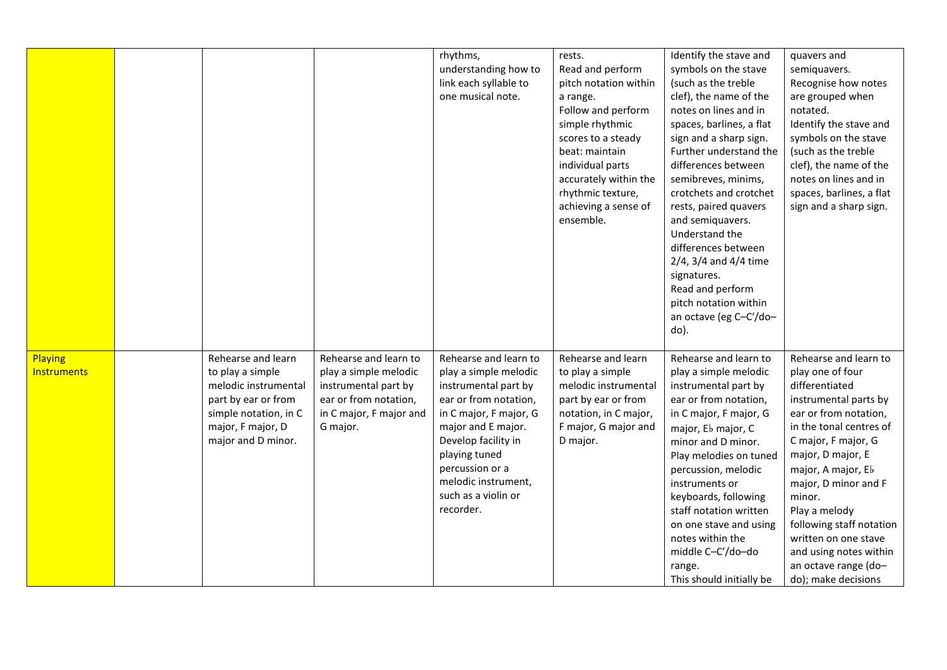|                               |                                                                                                                                                           |                                                                                                                                        | rhythms,<br>understanding how to<br>link each syllable to<br>one musical note.                                                                                                                                                                                        | rests.<br>Read and perform<br>pitch notation within<br>a range.<br>Follow and perform<br>simple rhythmic<br>scores to a steady<br>beat: maintain<br>individual parts<br>accurately within the<br>rhythmic texture,<br>achieving a sense of<br>ensemble. | Identify the stave and<br>symbols on the stave<br>(such as the treble<br>clef), the name of the<br>notes on lines and in<br>spaces, barlines, a flat<br>sign and a sharp sign.<br>Further understand the<br>differences between<br>semibreves, minims,<br>crotchets and crotchet<br>rests, paired quavers<br>and semiquavers.<br>Understand the<br>differences between<br>$2/4$ , $3/4$ and $4/4$ time<br>signatures.<br>Read and perform<br>pitch notation within<br>an octave (eg C-C'/do-<br>do). | quavers and<br>semiquavers.<br>Recognise how notes<br>are grouped when<br>notated.<br>Identify the stave and<br>symbols on the stave<br>(such as the treble<br>clef), the name of the<br>notes on lines and in<br>spaces, barlines, a flat<br>sign and a sharp sign.                                                                                                                       |
|-------------------------------|-----------------------------------------------------------------------------------------------------------------------------------------------------------|----------------------------------------------------------------------------------------------------------------------------------------|-----------------------------------------------------------------------------------------------------------------------------------------------------------------------------------------------------------------------------------------------------------------------|---------------------------------------------------------------------------------------------------------------------------------------------------------------------------------------------------------------------------------------------------------|------------------------------------------------------------------------------------------------------------------------------------------------------------------------------------------------------------------------------------------------------------------------------------------------------------------------------------------------------------------------------------------------------------------------------------------------------------------------------------------------------|--------------------------------------------------------------------------------------------------------------------------------------------------------------------------------------------------------------------------------------------------------------------------------------------------------------------------------------------------------------------------------------------|
| Playing<br><b>Instruments</b> | Rehearse and learn<br>to play a simple<br>melodic instrumental<br>part by ear or from<br>simple notation, in C<br>major, F major, D<br>major and D minor. | Rehearse and learn to<br>play a simple melodic<br>instrumental part by<br>ear or from notation,<br>in C major, F major and<br>G major. | Rehearse and learn to<br>play a simple melodic<br>instrumental part by<br>ear or from notation,<br>in C major, F major, G<br>major and E major.<br>Develop facility in<br>playing tuned<br>percussion or a<br>melodic instrument,<br>such as a violin or<br>recorder. | Rehearse and learn<br>to play a simple<br>melodic instrumental<br>part by ear or from<br>notation, in C major,<br>F major, G major and<br>D major.                                                                                                      | Rehearse and learn to<br>play a simple melodic<br>instrumental part by<br>ear or from notation,<br>in C major, F major, G<br>major, Eb major, C<br>minor and D minor.<br>Play melodies on tuned<br>percussion, melodic<br>instruments or<br>keyboards, following<br>staff notation written<br>on one stave and using<br>notes within the<br>middle C-C'/do-do<br>range.<br>This should initially be                                                                                                  | Rehearse and learn to<br>play one of four<br>differentiated<br>instrumental parts by<br>ear or from notation,<br>in the tonal centres of<br>C major, F major, G<br>major, D major, E<br>major, A major, Eb<br>major, D minor and F<br>minor.<br>Play a melody<br>following staff notation<br>written on one stave<br>and using notes within<br>an octave range (do-<br>do); make decisions |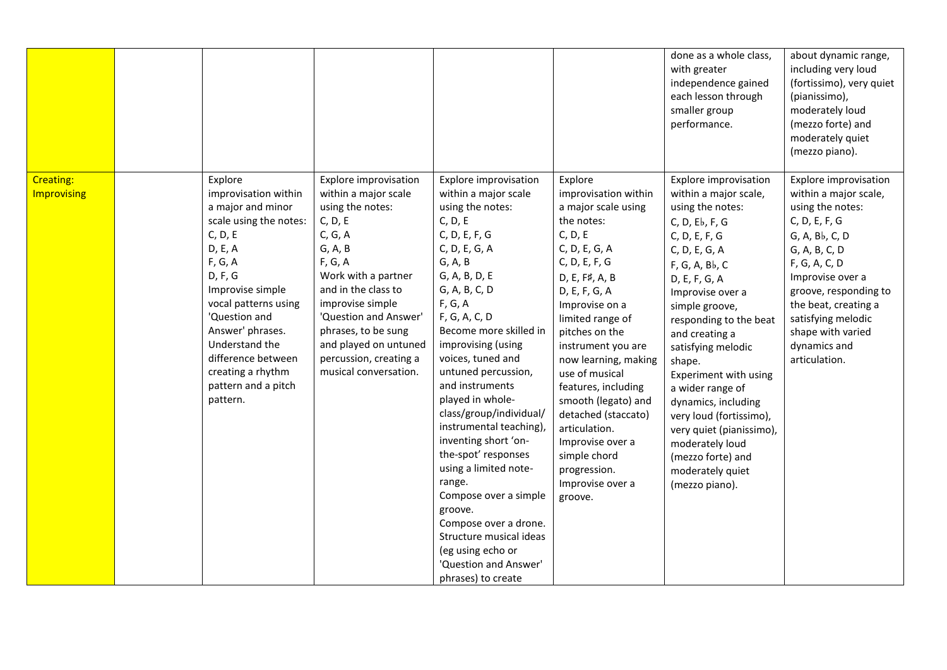|                                 |                                                                                                                                                                                                                                                                                                             |                                                                                                                                                                                                                                                                                                                    |                                                                                                                                                                                                                                                                                                                                                                                                                                                                                                                                                                                                                                       |                                                                                                                                                                                                                                                                                                                                                                                                                                                       | done as a whole class,<br>with greater<br>independence gained<br>each lesson through<br>smaller group<br>performance.                                                                                                                                                                                                                                                                                                                                                                | about dynamic range,<br>including very loud<br>(fortissimo), very quiet<br>(pianissimo),<br>moderately loud<br>(mezzo forte) and<br>moderately quiet<br>(mezzo piano).                                                                                                                   |
|---------------------------------|-------------------------------------------------------------------------------------------------------------------------------------------------------------------------------------------------------------------------------------------------------------------------------------------------------------|--------------------------------------------------------------------------------------------------------------------------------------------------------------------------------------------------------------------------------------------------------------------------------------------------------------------|---------------------------------------------------------------------------------------------------------------------------------------------------------------------------------------------------------------------------------------------------------------------------------------------------------------------------------------------------------------------------------------------------------------------------------------------------------------------------------------------------------------------------------------------------------------------------------------------------------------------------------------|-------------------------------------------------------------------------------------------------------------------------------------------------------------------------------------------------------------------------------------------------------------------------------------------------------------------------------------------------------------------------------------------------------------------------------------------------------|--------------------------------------------------------------------------------------------------------------------------------------------------------------------------------------------------------------------------------------------------------------------------------------------------------------------------------------------------------------------------------------------------------------------------------------------------------------------------------------|------------------------------------------------------------------------------------------------------------------------------------------------------------------------------------------------------------------------------------------------------------------------------------------|
| <b>Creating:</b><br>Improvising | Explore<br>improvisation within<br>a major and minor<br>scale using the notes:<br>C, D, E<br>D, E, A<br>F, G, A<br>D, F, G<br>Improvise simple<br>vocal patterns using<br>'Question and<br>Answer' phrases.<br>Understand the<br>difference between<br>creating a rhythm<br>pattern and a pitch<br>pattern. | <b>Explore improvisation</b><br>within a major scale<br>using the notes:<br>C, D, E<br>C, G, A<br>G, A, B<br>F, G, A<br>Work with a partner<br>and in the class to<br>improvise simple<br>'Question and Answer'<br>phrases, to be sung<br>and played on untuned<br>percussion, creating a<br>musical conversation. | <b>Explore improvisation</b><br>within a major scale<br>using the notes:<br>C, D, E<br>C, D, E, F, G<br>C, D, E, G, A<br>G, A, B<br>G, A, B, D, E<br>G, A, B, C, D<br>F, G, A<br>F, G, A, C, D<br>Become more skilled in<br>improvising (using<br>voices, tuned and<br>untuned percussion,<br>and instruments<br>played in whole-<br>class/group/individual/<br>instrumental teaching),<br>inventing short 'on-<br>the-spot' responses<br>using a limited note-<br>range.<br>Compose over a simple<br>groove.<br>Compose over a drone.<br>Structure musical ideas<br>(eg using echo or<br>'Question and Answer'<br>phrases) to create | Explore<br>improvisation within<br>a major scale using<br>the notes:<br>C, D, E<br>C, D, E, G, A<br>C, D, E, F, G<br>D, E, F#, A, B<br>D, E, F, G, A<br>Improvise on a<br>limited range of<br>pitches on the<br>instrument you are<br>now learning, making<br>use of musical<br>features, including<br>smooth (legato) and<br>detached (staccato)<br>articulation.<br>Improvise over a<br>simple chord<br>progression.<br>Improvise over a<br>groove. | Explore improvisation<br>within a major scale,<br>using the notes:<br>C, D, Eb, F, G<br>C, D, E, F, G<br>C, D, E, G, A<br>F, G, A, Bb, C<br>D, E, F, G, A<br>Improvise over a<br>simple groove,<br>responding to the beat<br>and creating a<br>satisfying melodic<br>shape.<br>Experiment with using<br>a wider range of<br>dynamics, including<br>very loud (fortissimo),<br>very quiet (pianissimo),<br>moderately loud<br>(mezzo forte) and<br>moderately quiet<br>(mezzo piano). | Explore improvisation<br>within a major scale,<br>using the notes:<br>C, D, E, F, G<br>G, A, Bb, C, D<br>G, A, B, C, D<br>F, G, A, C, D<br>Improvise over a<br>groove, responding to<br>the beat, creating a<br>satisfying melodic<br>shape with varied<br>dynamics and<br>articulation. |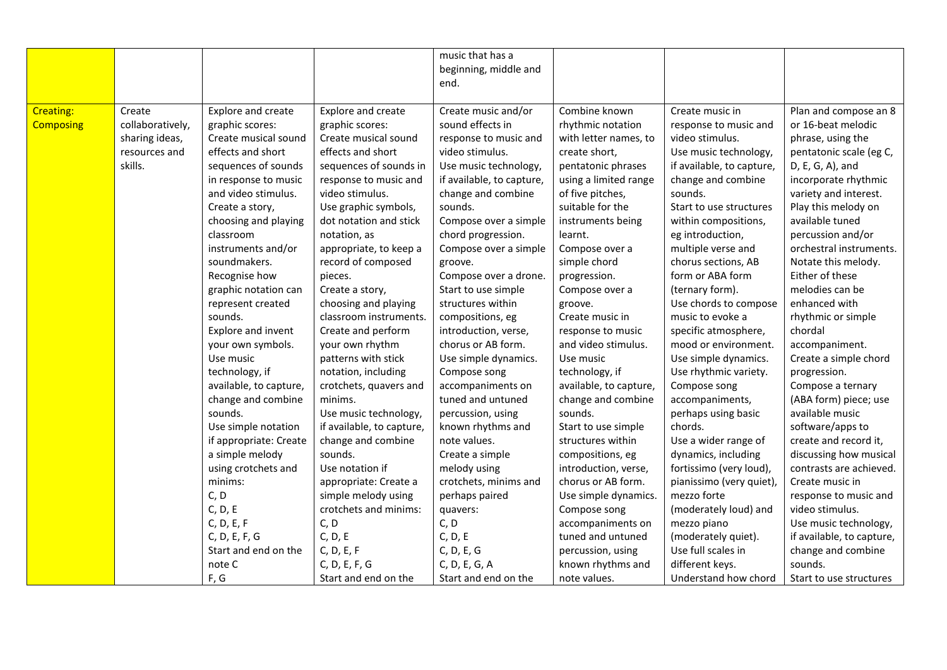|                  |                  |                        |                           | music that has a          |                        |                           |                           |
|------------------|------------------|------------------------|---------------------------|---------------------------|------------------------|---------------------------|---------------------------|
|                  |                  |                        |                           | beginning, middle and     |                        |                           |                           |
|                  |                  |                        |                           | end.                      |                        |                           |                           |
|                  |                  |                        |                           |                           |                        |                           |                           |
| <b>Creating:</b> | Create           | Explore and create     | Explore and create        | Create music and/or       | Combine known          | Create music in           | Plan and compose an 8     |
| <b>Composing</b> | collaboratively, | graphic scores:        | graphic scores:           | sound effects in          | rhythmic notation      | response to music and     | or 16-beat melodic        |
|                  | sharing ideas,   | Create musical sound   | Create musical sound      | response to music and     | with letter names, to  | video stimulus.           | phrase, using the         |
|                  | resources and    | effects and short      | effects and short         | video stimulus.           | create short,          | Use music technology,     | pentatonic scale (eg C,   |
|                  | skills.          | sequences of sounds    | sequences of sounds in    | Use music technology,     | pentatonic phrases     | if available, to capture, | D, E, G, A), and          |
|                  |                  | in response to music   | response to music and     | if available, to capture, | using a limited range  | change and combine        | incorporate rhythmic      |
|                  |                  | and video stimulus.    | video stimulus.           | change and combine        | of five pitches,       | sounds.                   | variety and interest.     |
|                  |                  | Create a story,        | Use graphic symbols,      | sounds.                   | suitable for the       | Start to use structures   | Play this melody on       |
|                  |                  | choosing and playing   | dot notation and stick    | Compose over a simple     | instruments being      | within compositions,      | available tuned           |
|                  |                  | classroom              | notation, as              | chord progression.        | learnt.                | eg introduction,          | percussion and/or         |
|                  |                  | instruments and/or     | appropriate, to keep a    | Compose over a simple     | Compose over a         | multiple verse and        | orchestral instruments.   |
|                  |                  | soundmakers.           | record of composed        | groove.                   | simple chord           | chorus sections, AB       | Notate this melody.       |
|                  |                  | Recognise how          | pieces.                   | Compose over a drone.     | progression.           | form or ABA form          | Either of these           |
|                  |                  | graphic notation can   | Create a story,           | Start to use simple       | Compose over a         | (ternary form).           | melodies can be           |
|                  |                  | represent created      | choosing and playing      | structures within         | groove.                | Use chords to compose     | enhanced with             |
|                  |                  | sounds.                | classroom instruments.    | compositions, eg          | Create music in        | music to evoke a          | rhythmic or simple        |
|                  |                  | Explore and invent     | Create and perform        | introduction, verse,      | response to music      | specific atmosphere,      | chordal                   |
|                  |                  | your own symbols.      | your own rhythm           | chorus or AB form.        | and video stimulus.    | mood or environment.      | accompaniment.            |
|                  |                  | Use music              | patterns with stick       | Use simple dynamics.      | Use music              | Use simple dynamics.      | Create a simple chord     |
|                  |                  | technology, if         | notation, including       | Compose song              | technology, if         | Use rhythmic variety.     | progression.              |
|                  |                  | available, to capture, | crotchets, quavers and    | accompaniments on         | available, to capture, | Compose song              | Compose a ternary         |
|                  |                  | change and combine     | minims.                   | tuned and untuned         | change and combine     | accompaniments,           | (ABA form) piece; use     |
|                  |                  | sounds.                | Use music technology,     | percussion, using         | sounds.                | perhaps using basic       | available music           |
|                  |                  | Use simple notation    | if available, to capture, | known rhythms and         | Start to use simple    | chords.                   | software/apps to          |
|                  |                  | if appropriate: Create | change and combine        | note values.              | structures within      | Use a wider range of      | create and record it,     |
|                  |                  | a simple melody        | sounds.                   | Create a simple           | compositions, eg       | dynamics, including       | discussing how musical    |
|                  |                  | using crotchets and    | Use notation if           | melody using              | introduction, verse,   | fortissimo (very loud),   | contrasts are achieved.   |
|                  |                  | minims:                | appropriate: Create a     | crotchets, minims and     | chorus or AB form.     | pianissimo (very quiet),  | Create music in           |
|                  |                  | C, D                   | simple melody using       | perhaps paired            | Use simple dynamics.   | mezzo forte               | response to music and     |
|                  |                  | C, D, E                | crotchets and minims:     | quavers:                  | Compose song           | (moderately loud) and     | video stimulus.           |
|                  |                  | C, D, E, F             | C, D                      | C, D                      | accompaniments on      | mezzo piano               | Use music technology,     |
|                  |                  | C, D, E, F, G          | C, D, E                   | C, D, E                   | tuned and untuned      | (moderately quiet).       | if available, to capture, |
|                  |                  | Start and end on the   | C, D, E, F                | C, D, E, G                | percussion, using      | Use full scales in        | change and combine        |
|                  |                  | note C                 | C, D, E, F, G             | C, D, E, G, A             | known rhythms and      | different keys.           | sounds.                   |
|                  |                  | F, G                   | Start and end on the      | Start and end on the      | note values.           | Understand how chord      | Start to use structures   |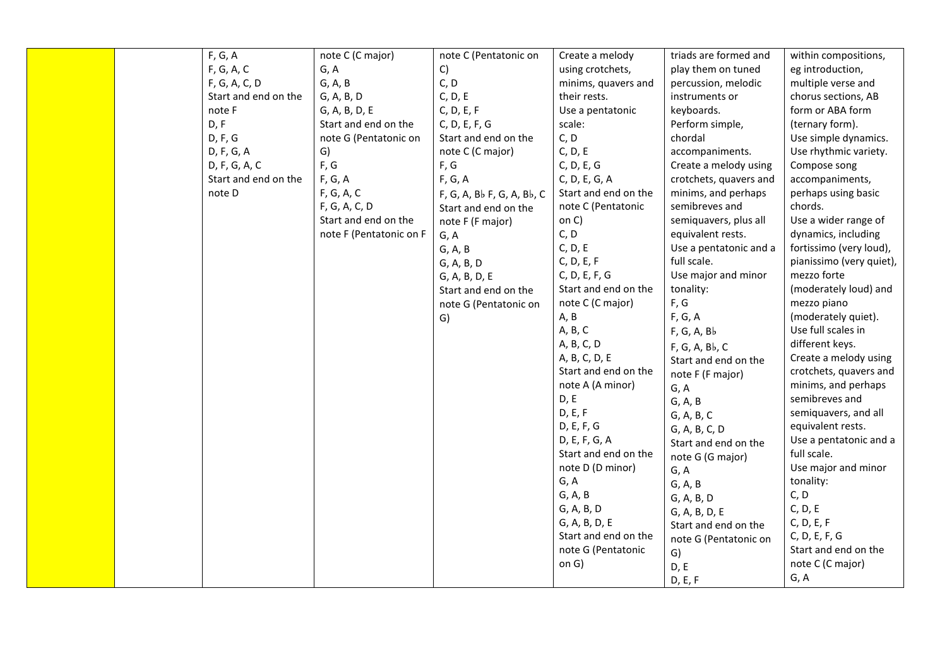| F, G, A              | note C (C major)        | note C (Pentatonic on      | Create a melody      | triads are formed and  | within compositions,     |
|----------------------|-------------------------|----------------------------|----------------------|------------------------|--------------------------|
| F, G, A, C           | G, A                    | C)                         | using crotchets,     | play them on tuned     | eg introduction,         |
| F, G, A, C, D        | G, A, B                 | C, D                       | minims, quavers and  | percussion, melodic    | multiple verse and       |
| Start and end on the | G, A, B, D              | C, D, E                    | their rests.         | instruments or         | chorus sections, AB      |
| note F               | G, A, B, D, E           | C, D, E, F                 | Use a pentatonic     | keyboards.             | form or ABA form         |
| D, F                 | Start and end on the    | C, D, E, F, G              | scale:               | Perform simple,        | (ternary form).          |
| D, F, G              | note G (Pentatonic on   | Start and end on the       | C, D                 | chordal                | Use simple dynamics.     |
| D, F, G, A           | G)                      | note C (C major)           | C, D, E              | accompaniments.        | Use rhythmic variety.    |
| D, F, G, A, C        | F, G                    | F, G                       | C, D, E, G           | Create a melody using  | Compose song             |
| Start and end on the | F, G, A                 | F, G, A                    | C, D, E, G, A        | crotchets, quavers and | accompaniments,          |
| note D               | F, G, A, C              | F, G, A, Bb F, G, A, Bb, C | Start and end on the | minims, and perhaps    | perhaps using basic      |
|                      | F, G, A, C, D           | Start and end on the       | note C (Pentatonic   | semibreves and         | chords.                  |
|                      | Start and end on the    | note F (F major)           | on C)                | semiquavers, plus all  | Use a wider range of     |
|                      | note F (Pentatonic on F | G, A                       | C, D                 | equivalent rests.      | dynamics, including      |
|                      |                         | G, A, B                    | C, D, E              | Use a pentatonic and a | fortissimo (very loud),  |
|                      |                         | G, A, B, D                 | C, D, E, F           | full scale.            | pianissimo (very quiet), |
|                      |                         | G, A, B, D, E              | C, D, E, F, G        | Use major and minor    | mezzo forte              |
|                      |                         | Start and end on the       | Start and end on the | tonality:              | (moderately loud) and    |
|                      |                         | note G (Pentatonic on      | note C (C major)     | F, G                   | mezzo piano              |
|                      |                         | G)                         | A, B                 | F, G, A                | (moderately quiet).      |
|                      |                         |                            | A, B, C              | F, G, A, B             | Use full scales in       |
|                      |                         |                            | A, B, C, D           | F, G, A, Bb, C         | different keys.          |
|                      |                         |                            | A, B, C, D, E        | Start and end on the   | Create a melody using    |
|                      |                         |                            | Start and end on the | note F (F major)       | crotchets, quavers and   |
|                      |                         |                            | note A (A minor)     | G, A                   | minims, and perhaps      |
|                      |                         |                            | D, E                 | G, A, B                | semibreves and           |
|                      |                         |                            | D, E, F              | G, A, B, C             | semiquavers, and all     |
|                      |                         |                            | D, E, F, G           | G, A, B, C, D          | equivalent rests.        |
|                      |                         |                            | D, E, F, G, A        | Start and end on the   | Use a pentatonic and a   |
|                      |                         |                            | Start and end on the | note G (G major)       | full scale.              |
|                      |                         |                            | note D (D minor)     | G, A                   | Use major and minor      |
|                      |                         |                            | G, A                 | G, A, B                | tonality:                |
|                      |                         |                            | G, A, B              | G, A, B, D             | C, D                     |
|                      |                         |                            | G, A, B, D           | G, A, B, D, E          | C, D, E                  |
|                      |                         |                            | G, A, B, D, E        | Start and end on the   | C, D, E, F               |
|                      |                         |                            | Start and end on the | note G (Pentatonic on  | C, D, E, F, G            |
|                      |                         |                            | note G (Pentatonic   | G)                     | Start and end on the     |
|                      |                         |                            | on G)                | D, E                   | note C (C major)         |
|                      |                         |                            |                      | D, E, F                | G, A                     |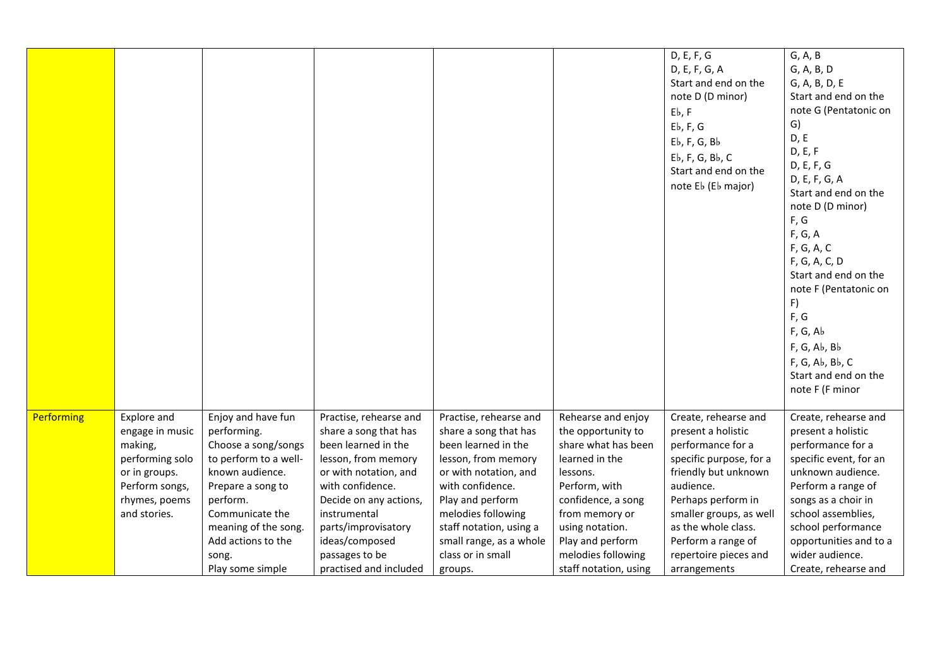|            |                                                                                                                                  |                                                                                                                                                                                                                                     |                                                                                                                                                                                                                                                                           |                                                                                                                                                                                                                                                                            |                                                                                                                                                                                                                                              | D, E, F, G<br>D, E, F, G, A<br>Start and end on the<br>note D (D minor)<br>Eb, F<br>$Eb$ , F, G<br>$Eb$ , F, G, B $b$<br>$Eb$ , F, G, B $b$ , C<br>Start and end on the<br>note Eb (Eb major)                                                                          | G, A, B<br>G, A, B, D<br>G, A, B, D, E<br>Start and end on the<br>note G (Pentatonic on<br>G)<br>D, E<br>D, E, F<br>D, E, F, G<br>D, E, F, G, A<br>Start and end on the<br>note D (D minor)<br>F, G<br>F, G, A<br>F, G, A, C<br>F, G, A, C, D<br>Start and end on the<br>note F (Pentatonic on<br>F)<br>F, G<br>F, G, Ab<br>F, G, Ab, Bb<br>F, G, Ab, Bb, C<br>Start and end on the<br>note F (F minor |
|------------|----------------------------------------------------------------------------------------------------------------------------------|-------------------------------------------------------------------------------------------------------------------------------------------------------------------------------------------------------------------------------------|---------------------------------------------------------------------------------------------------------------------------------------------------------------------------------------------------------------------------------------------------------------------------|----------------------------------------------------------------------------------------------------------------------------------------------------------------------------------------------------------------------------------------------------------------------------|----------------------------------------------------------------------------------------------------------------------------------------------------------------------------------------------------------------------------------------------|------------------------------------------------------------------------------------------------------------------------------------------------------------------------------------------------------------------------------------------------------------------------|--------------------------------------------------------------------------------------------------------------------------------------------------------------------------------------------------------------------------------------------------------------------------------------------------------------------------------------------------------------------------------------------------------|
| Performing | Explore and<br>engage in music<br>making,<br>performing solo<br>or in groups.<br>Perform songs,<br>rhymes, poems<br>and stories. | Enjoy and have fun<br>performing.<br>Choose a song/songs<br>to perform to a well-<br>known audience.<br>Prepare a song to<br>perform.<br>Communicate the<br>meaning of the song.<br>Add actions to the<br>song.<br>Play some simple | Practise, rehearse and<br>share a song that has<br>been learned in the<br>lesson, from memory<br>or with notation, and<br>with confidence.<br>Decide on any actions,<br>instrumental<br>parts/improvisatory<br>ideas/composed<br>passages to be<br>practised and included | Practise, rehearse and<br>share a song that has<br>been learned in the<br>lesson, from memory<br>or with notation, and<br>with confidence.<br>Play and perform<br>melodies following<br>staff notation, using a<br>small range, as a whole<br>class or in small<br>groups. | Rehearse and enjoy<br>the opportunity to<br>share what has been<br>learned in the<br>lessons.<br>Perform, with<br>confidence, a song<br>from memory or<br>using notation.<br>Play and perform<br>melodies following<br>staff notation, using | Create, rehearse and<br>present a holistic<br>performance for a<br>specific purpose, for a<br>friendly but unknown<br>audience.<br>Perhaps perform in<br>smaller groups, as well<br>as the whole class.<br>Perform a range of<br>repertoire pieces and<br>arrangements | Create, rehearse and<br>present a holistic<br>performance for a<br>specific event, for an<br>unknown audience.<br>Perform a range of<br>songs as a choir in<br>school assemblies,<br>school performance<br>opportunities and to a<br>wider audience.<br>Create, rehearse and                                                                                                                           |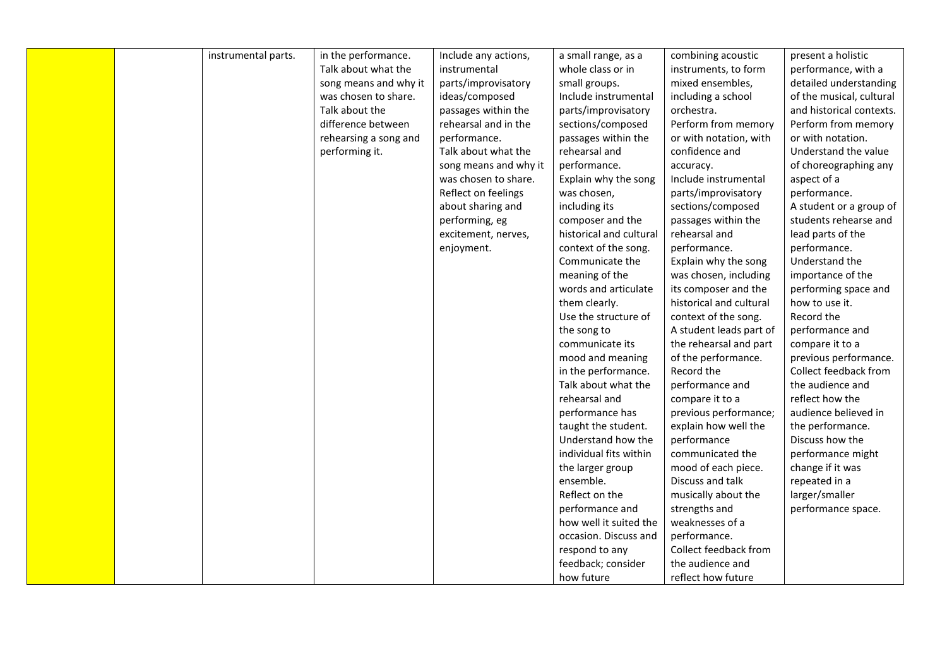|  | instrumental parts. | in the performance.   | Include any actions,  | a small range, as a     | combining acoustic      | present a holistic       |
|--|---------------------|-----------------------|-----------------------|-------------------------|-------------------------|--------------------------|
|  |                     | Talk about what the   | instrumental          | whole class or in       | instruments, to form    | performance, with a      |
|  |                     | song means and why it | parts/improvisatory   | small groups.           | mixed ensembles,        | detailed understanding   |
|  |                     | was chosen to share.  | ideas/composed        | Include instrumental    | including a school      | of the musical, cultural |
|  |                     | Talk about the        | passages within the   | parts/improvisatory     | orchestra.              | and historical contexts. |
|  |                     | difference between    | rehearsal and in the  | sections/composed       | Perform from memory     | Perform from memory      |
|  |                     |                       |                       |                         |                         |                          |
|  |                     | rehearsing a song and | performance.          | passages within the     | or with notation, with  | or with notation.        |
|  |                     | performing it.        | Talk about what the   | rehearsal and           | confidence and          | Understand the value     |
|  |                     |                       | song means and why it | performance.            | accuracy.               | of choreographing any    |
|  |                     |                       | was chosen to share.  | Explain why the song    | Include instrumental    | aspect of a              |
|  |                     |                       | Reflect on feelings   | was chosen,             | parts/improvisatory     | performance.             |
|  |                     |                       | about sharing and     | including its           | sections/composed       | A student or a group of  |
|  |                     |                       | performing, eg        | composer and the        | passages within the     | students rehearse and    |
|  |                     |                       | excitement, nerves,   | historical and cultural | rehearsal and           | lead parts of the        |
|  |                     |                       | enjoyment.            | context of the song.    | performance.            | performance.             |
|  |                     |                       |                       | Communicate the         | Explain why the song    | Understand the           |
|  |                     |                       |                       | meaning of the          | was chosen, including   | importance of the        |
|  |                     |                       |                       | words and articulate    | its composer and the    | performing space and     |
|  |                     |                       |                       | them clearly.           | historical and cultural | how to use it.           |
|  |                     |                       |                       | Use the structure of    | context of the song.    | Record the               |
|  |                     |                       |                       | the song to             | A student leads part of | performance and          |
|  |                     |                       |                       | communicate its         | the rehearsal and part  | compare it to a          |
|  |                     |                       |                       | mood and meaning        | of the performance.     | previous performance.    |
|  |                     |                       |                       | in the performance.     | Record the              | Collect feedback from    |
|  |                     |                       |                       | Talk about what the     | performance and         | the audience and         |
|  |                     |                       |                       | rehearsal and           | compare it to a         | reflect how the          |
|  |                     |                       |                       | performance has         | previous performance;   | audience believed in     |
|  |                     |                       |                       | taught the student.     | explain how well the    | the performance.         |
|  |                     |                       |                       | Understand how the      | performance             | Discuss how the          |
|  |                     |                       |                       | individual fits within  | communicated the        | performance might        |
|  |                     |                       |                       | the larger group        | mood of each piece.     | change if it was         |
|  |                     |                       |                       | ensemble.               | Discuss and talk        | repeated in a            |
|  |                     |                       |                       | Reflect on the          | musically about the     | larger/smaller           |
|  |                     |                       |                       | performance and         | strengths and           | performance space.       |
|  |                     |                       |                       | how well it suited the  | weaknesses of a         |                          |
|  |                     |                       |                       | occasion. Discuss and   | performance.            |                          |
|  |                     |                       |                       | respond to any          | Collect feedback from   |                          |
|  |                     |                       |                       | feedback; consider      | the audience and        |                          |
|  |                     |                       |                       | how future              | reflect how future      |                          |